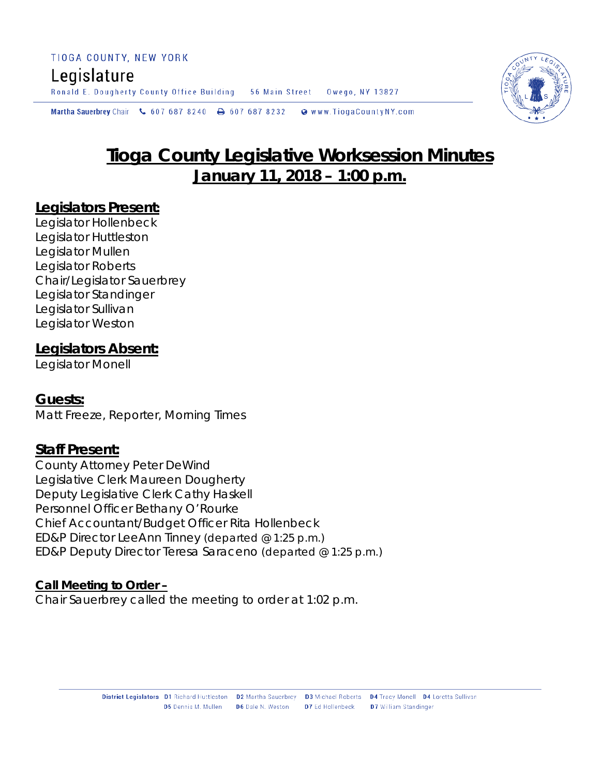# Legislature

Ronald E. Dougherty County Office Building 56 Main Street Owego, NY 13827

Martha Sauerbrey Chair & 607 687 8240 A 607 687 8232 Www.TiogaCountyNY.com



# **January 11, 2018 – 1:00 p.m.**

## **Legislators Present:**

Legislator Hollenbeck Legislator Huttleston Legislator Mullen Legislator Roberts Chair/Legislator Sauerbrey Legislator Standinger Legislator Sullivan Legislator Weston

#### **Legislators Absent:**

Legislator Monell

## **Guests:**

Matt Freeze, Reporter, Morning Times

## **Staff Present:**

County Attorney Peter DeWind Legislative Clerk Maureen Dougherty Deputy Legislative Clerk Cathy Haskell Personnel Officer Bethany O'Rourke Chief Accountant/Budget Officer Rita Hollenbeck ED&P Director LeeAnn Tinney *(departed @ 1:25 p.m.)* ED&P Deputy Director Teresa Saraceno *(departed @ 1:25 p.m.)*

#### **Call Meeting to Order –**

Chair Sauerbrey called the meeting to order at 1:02 p.m.

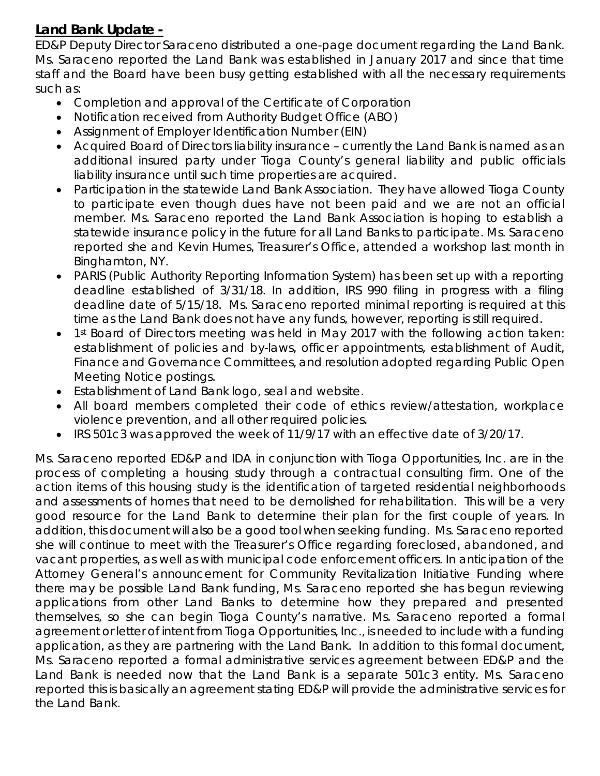## **Land Bank Update -**

ED&P Deputy Director Saraceno distributed a one-page document regarding the Land Bank. Ms. Saraceno reported the Land Bank was established in January 2017 and since that time staff and the Board have been busy getting established with all the necessary requirements such as:

- Completion and approval of the Certificate of Corporation
- Notification received from Authority Budget Office (ABO)
- Assignment of Employer Identification Number (EIN)
- Acquired Board of Directors liability insurance currently the Land Bank is named as an additional insured party under Tioga County's general liability and public officials liability insurance until such time properties are acquired.
- Participation in the statewide Land Bank Association. They have allowed Tioga County to participate even though dues have not been paid and we are not an official member. Ms. Saraceno reported the Land Bank Association is hoping to establish a statewide insurance policy in the future for all Land Banks to participate. Ms. Saraceno reported she and Kevin Humes, Treasurer's Office, attended a workshop last month in Binghamton, NY.
- PARIS (Public Authority Reporting Information System) has been set up with a reporting deadline established of 3/31/18. In addition, IRS 990 filing in progress with a filing deadline date of 5/15/18. Ms. Saraceno reported minimal reporting is required at this time as the Land Bank does not have any funds, however, reporting is still required.
- 1<sup>st</sup> Board of Directors meeting was held in May 2017 with the following action taken: establishment of policies and by-laws, officer appointments, establishment of Audit, Finance and Governance Committees, and resolution adopted regarding Public Open Meeting Notice postings.
- Establishment of Land Bank logo, seal and website.
- All board members completed their code of ethics review/attestation, workplace violence prevention, and all other required policies.
- IRS 501c3 was approved the week of 11/9/17 with an effective date of 3/20/17.

Ms. Saraceno reported ED&P and IDA in conjunction with Tioga Opportunities, Inc. are in the process of completing a housing study through a contractual consulting firm. One of the action items of this housing study is the identification of targeted residential neighborhoods and assessments of homes that need to be demolished for rehabilitation. This will be a very good resource for the Land Bank to determine their plan for the first couple of years. In addition, this document will also be a good tool when seeking funding. Ms. Saraceno reported she will continue to meet with the Treasurer's Office regarding foreclosed, abandoned, and vacant properties, as well as with municipal code enforcement officers. In anticipation of the Attorney General's announcement for Community Revitalization Initiative Funding where there may be possible Land Bank funding, Ms. Saraceno reported she has begun reviewing applications from other Land Banks to determine how they prepared and presented themselves, so she can begin Tioga County's narrative. Ms. Saraceno reported a formal agreement or letter of intent from Tioga Opportunities, Inc., is needed to include with a funding application, as they are partnering with the Land Bank. In addition to this formal document, Ms. Saraceno reported a formal administrative services agreement between ED&P and the Land Bank is needed now that the Land Bank is a separate 501c3 entity. Ms. Saraceno reported this is basically an agreement stating ED&P will provide the administrative services for the Land Bank.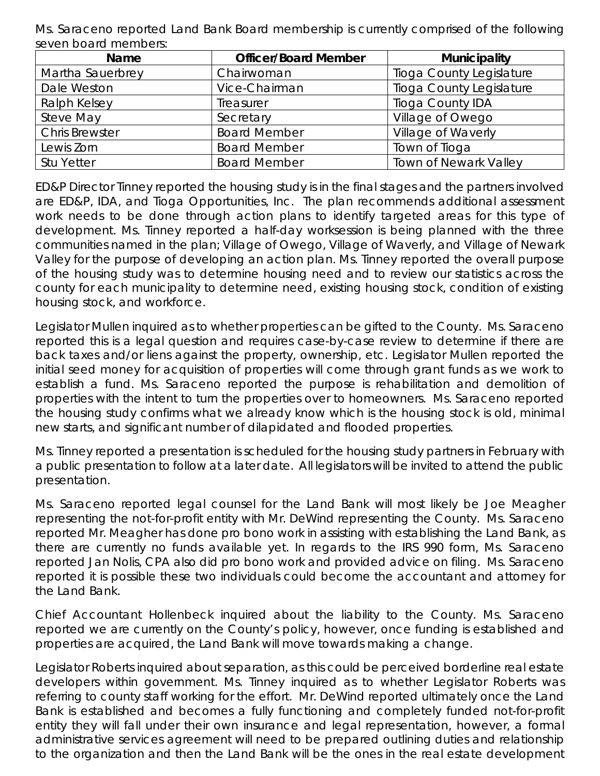Ms. Saraceno reported Land Bank Board membership is currently comprised of the following seven board members:

| <b>Name</b>           | <b>Officer/Board Member</b> | <b>Municipality</b>             |
|-----------------------|-----------------------------|---------------------------------|
| Martha Sauerbrey      | Chairwoman                  | <b>Tioga County Legislature</b> |
| Dale Weston           | Vice-Chairman               | <b>Tioga County Legislature</b> |
| Ralph Kelsey          | Treasurer                   | <b>Tioga County IDA</b>         |
| Steve May             | Secretary                   | Village of Owego                |
| <b>Chris Brewster</b> | <b>Board Member</b>         | Village of Waverly              |
| Lewis Zorn            | <b>Board Member</b>         | Town of Tioga                   |
| <b>Stu Yetter</b>     | <b>Board Member</b>         | <b>Town of Newark Valley</b>    |

ED&P Director Tinney reported the housing study is in the final stages and the partners involved are ED&P, IDA, and Tioga Opportunities, Inc. The plan recommends additional assessment work needs to be done through action plans to identify targeted areas for this type of development. Ms. Tinney reported a half-day worksession is being planned with the three communities named in the plan; Village of Owego, Village of Waverly, and Village of Newark Valley for the purpose of developing an action plan. Ms. Tinney reported the overall purpose of the housing study was to determine housing need and to review our statistics across the county for each municipality to determine need, existing housing stock, condition of existing housing stock, and workforce.

Legislator Mullen inquired as to whether properties can be gifted to the County. Ms. Saraceno reported this is a legal question and requires case-by-case review to determine if there are back taxes and/or liens against the property, ownership, etc. Legislator Mullen reported the initial seed money for acquisition of properties will come through grant funds as we work to establish a fund. Ms. Saraceno reported the purpose is rehabilitation and demolition of properties with the intent to turn the properties over to homeowners. Ms. Saraceno reported the housing study confirms what we already know which is the housing stock is old, minimal new starts, and significant number of dilapidated and flooded properties.

Ms. Tinney reported a presentation is scheduled for the housing study partners in February with a public presentation to follow at a later date. All legislators will be invited to attend the public presentation.

Ms. Saraceno reported legal counsel for the Land Bank will most likely be Joe Meagher representing the not-for-profit entity with Mr. DeWind representing the County. Ms. Saraceno reported Mr. Meagher has done pro bono work in assisting with establishing the Land Bank, as there are currently no funds available yet. In regards to the IRS 990 form, Ms. Saraceno reported Jan Nolis, CPA also did pro bono work and provided advice on filing. Ms. Saraceno reported it is possible these two individuals could become the accountant and attorney for the Land Bank.

Chief Accountant Hollenbeck inquired about the liability to the County. Ms. Saraceno reported we are currently on the County's policy, however, once funding is established and properties are acquired, the Land Bank will move towards making a change.

Legislator Roberts inquired about separation, as this could be perceived borderline real estate developers within government. Ms. Tinney inquired as to whether Legislator Roberts was referring to county staff working for the effort. Mr. DeWind reported ultimately once the Land Bank is established and becomes a fully functioning and completely funded not-for-profit entity they will fall under their own insurance and legal representation, however, a formal administrative services agreement will need to be prepared outlining duties and relationship to the organization and then the Land Bank will be the ones in the real estate development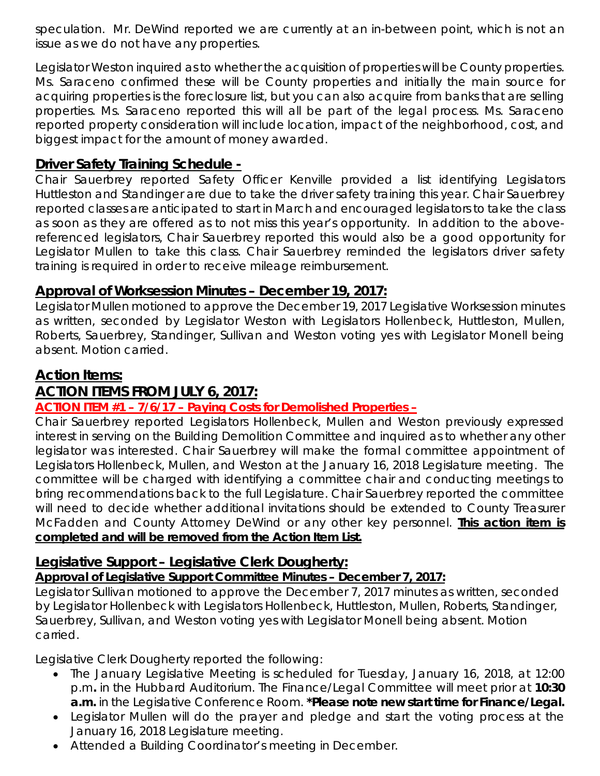speculation. Mr. DeWind reported we are currently at an in-between point, which is not an issue as we do not have any properties.

Legislator Weston inquired as to whether the acquisition of properties will be County properties. Ms. Saraceno confirmed these will be County properties and initially the main source for acquiring properties is the foreclosure list, but you can also acquire from banks that are selling properties. Ms. Saraceno reported this will all be part of the legal process. Ms. Saraceno reported property consideration will include location, impact of the neighborhood, cost, and biggest impact for the amount of money awarded.

## **Driver Safety Training Schedule -**

Chair Sauerbrey reported Safety Officer Kenville provided a list identifying Legislators Huttleston and Standinger are due to take the driver safety training this year. Chair Sauerbrey reported classes are anticipated to start in March and encouraged legislators to take the class as soon as they are offered as to not miss this year's opportunity. In addition to the abovereferenced legislators, Chair Sauerbrey reported this would also be a good opportunity for Legislator Mullen to take this class. Chair Sauerbrey reminded the legislators driver safety training is required in order to receive mileage reimbursement.

## **Approval of Worksession Minutes – December 19, 2017:**

Legislator Mullen motioned to approve the December 19, 2017 Legislative Worksession minutes as written, seconded by Legislator Weston with Legislators Hollenbeck, Huttleston, Mullen, Roberts, Sauerbrey, Standinger, Sullivan and Weston voting yes with Legislator Monell being absent. Motion carried.

## **Action Items:**

## **ACTION ITEMS FROM JULY 6, 2017:**

## **ACTION ITEM #1 – 7/6/17 – Paying Costs for Demolished Properties –**

Chair Sauerbrey reported Legislators Hollenbeck, Mullen and Weston previously expressed interest in serving on the Building Demolition Committee and inquired as to whether any other legislator was interested. Chair Sauerbrey will make the formal committee appointment of Legislators Hollenbeck, Mullen, and Weston at the January 16, 2018 Legislature meeting. The committee will be charged with identifying a committee chair and conducting meetings to bring recommendations back to the full Legislature. Chair Sauerbrey reported the committee will need to decide whether additional invitations should be extended to County Treasurer McFadden and County Attorney DeWind or any other key personnel. **This action item is completed and will be removed from the Action Item List.** 

## **Legislative Support – Legislative Clerk Dougherty:**

## *Approval of Legislative Support Committee Minutes – December 7, 2017:*

Legislator Sullivan motioned to approve the December 7, 2017 minutes as written, seconded by Legislator Hollenbeck with Legislators Hollenbeck, Huttleston, Mullen, Roberts, Standinger, Sauerbrey, Sullivan, and Weston voting yes with Legislator Monell being absent. Motion carried.

Legislative Clerk Dougherty reported the following:

- The January Legislative Meeting is scheduled for Tuesday, January 16, 2018, at 12:00 p.m*.* in the Hubbard Auditorium. The Finance/Legal Committee will meet prior at **10:30 a.m.** in the Legislative Conference Room. *\*Please note new start time for Finance/Legal.*
- Legislator Mullen will do the prayer and pledge and start the voting process at the January 16, 2018 Legislature meeting.
- Attended a Building Coordinator's meeting in December.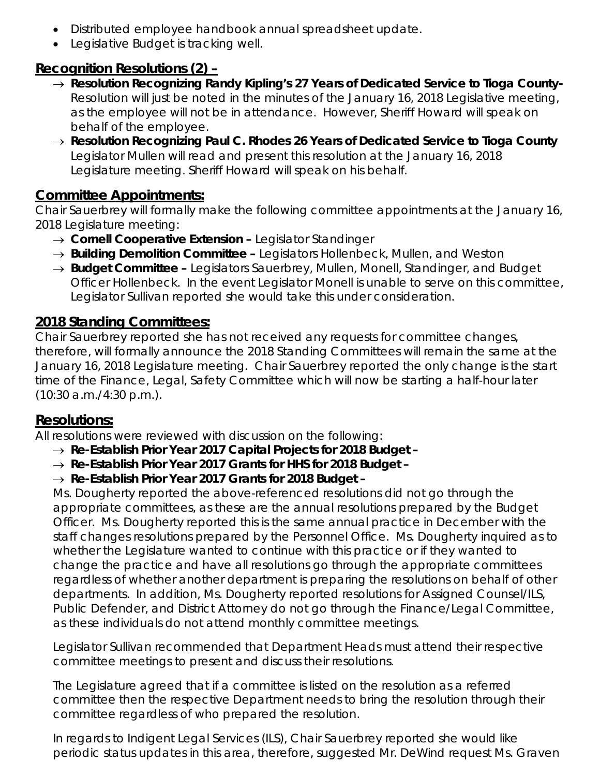- Distributed employee handbook annual spreadsheet update.
- Legislative Budget is tracking well.

# **Recognition Resolutions (2) –**

- → *Resolution Recognizing Randy Kipling's 27 Years of Dedicated Service to Tioga County-*Resolution will just be noted in the minutes of the January 16, 2018 Legislative meeting, as the employee will not be in attendance. However, Sheriff Howard will speak on behalf of the employee.
- → *Resolution Recognizing Paul C. Rhodes 26 Years of Dedicated Service to Tioga County* Legislator Mullen will read and present this resolution at the January 16, 2018 Legislature meeting. Sheriff Howard will speak on his behalf.

## **Committee Appointments:**

Chair Sauerbrey will formally make the following committee appointments at the January 16, 2018 Legislature meeting:

- → *Cornell Cooperative Extension –* Legislator Standinger
- → **Building Demolition Committee –** Legislators Hollenbeck, Mullen, and Weston
- → **Budget Committee –** Legislators Sauerbrey, Mullen, Monell, Standinger, and Budget Officer Hollenbeck. In the event Legislator Monell is unable to serve on this committee, Legislator Sullivan reported she would take this under consideration.

# **2018 Standing Committees:**

Chair Sauerbrey reported she has not received any requests for committee changes, therefore, will formally announce the 2018 Standing Committees will remain the same at the January 16, 2018 Legislature meeting. Chair Sauerbrey reported the only change is the start time of the Finance, Legal, Safety Committee which will now be starting a half-hour later (10:30 a.m./4:30 p.m.).

## **Resolutions:**

All resolutions were reviewed with discussion on the following:

- → *Re-Establish Prior Year 2017 Capital Projects for 2018 Budget –*
- → *Re-Establish Prior Year 2017 Grants for HHS for 2018 Budget –*
- → *Re-Establish Prior Year 2017 Grants for 2018 Budget –*

Ms. Dougherty reported the above-referenced resolutions did not go through the appropriate committees, as these are the annual resolutions prepared by the Budget Officer. Ms. Dougherty reported this is the same annual practice in December with the staff changes resolutions prepared by the Personnel Office. Ms. Dougherty inquired as to whether the Legislature wanted to continue with this practice or if they wanted to change the practice and have all resolutions go through the appropriate committees regardless of whether another department is preparing the resolutions on behalf of other departments. In addition, Ms. Dougherty reported resolutions for Assigned Counsel/ILS, Public Defender, and District Attorney do not go through the Finance/Legal Committee, as these individuals do not attend monthly committee meetings.

Legislator Sullivan recommended that Department Heads must attend their respective committee meetings to present and discuss their resolutions.

The Legislature agreed that if a committee is listed on the resolution as a referred committee then the respective Department needs to bring the resolution through their committee regardless of who prepared the resolution.

In regards to Indigent Legal Services (ILS), Chair Sauerbrey reported she would like periodic status updates in this area, therefore, suggested Mr. DeWind request Ms. Graven